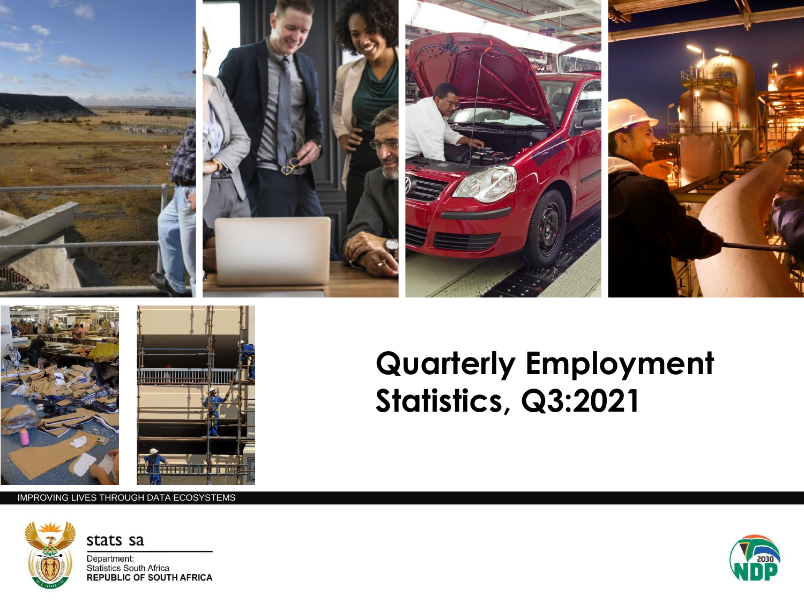





## **Quarterly Employment Statistics, Q3:2021**

IMPROVING LIVES THROUGH DATA ECOSYSTEMS



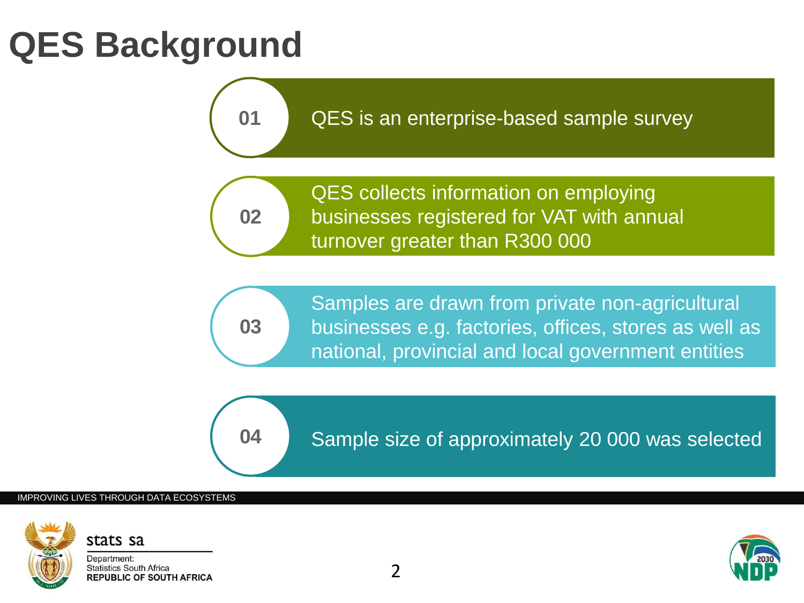# **QES Background**

QES is an enterprise-based sample survey



**01**

QES collects information on employing businesses registered for VAT with annual turnover greater than R300 000

**03**

Samples are drawn from private non-agricultural businesses e.g. factories, offices, stores as well as national, provincial and local government entities

**04**

Sample size of approximately 20 000 was selected

### IMPROVING LIVES THROUGH DATA ECOSYSTEMS





R300 000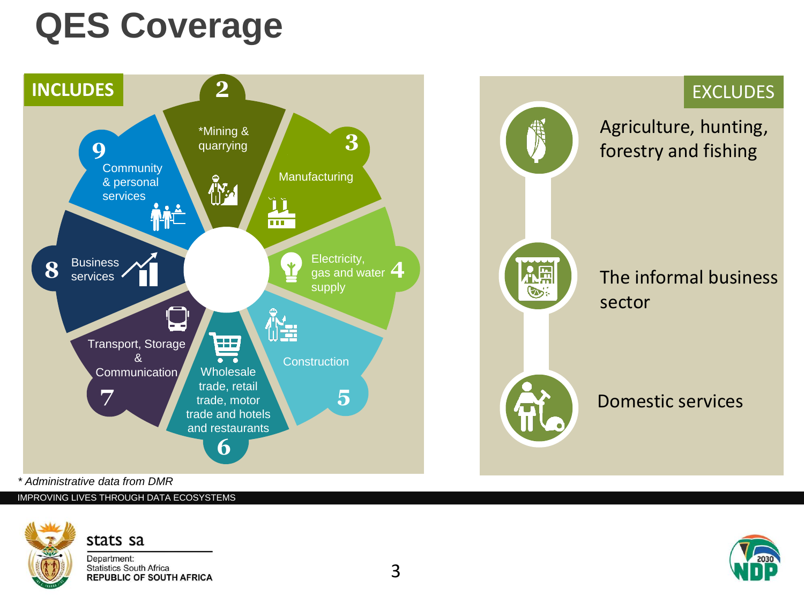# **QES Coverage**



*\* Administrative data from DMR*

IMPROVING LIVES THROUGH DATA ECOSYSTEMS

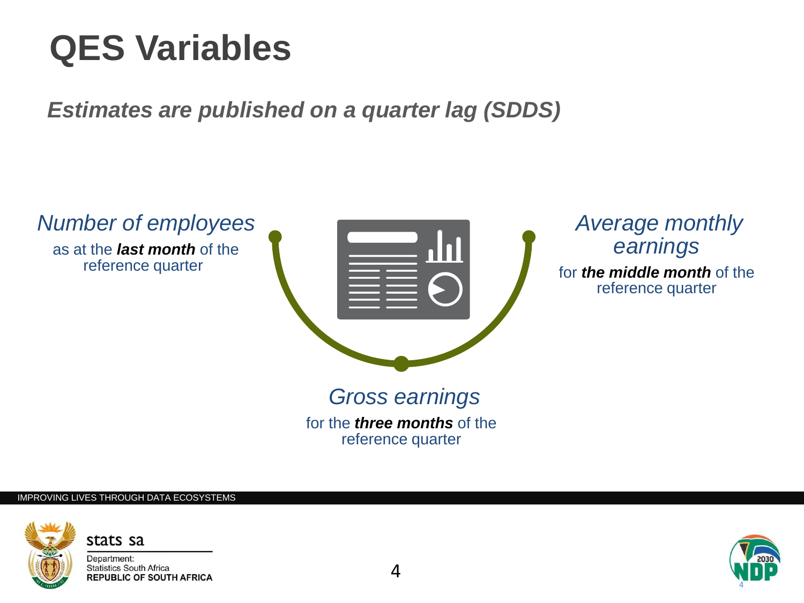# **QES Variables**

*Estimates are published on a quarter lag (SDDS)*



for the *three months* of the reference quarter

#### IMPROVING LIVES THROUGH DATA ECOSYSTEMS



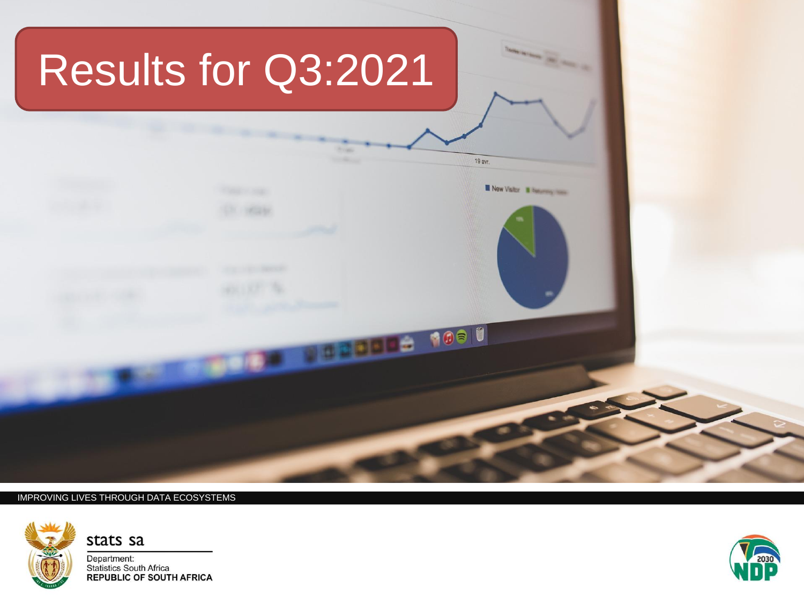

#### IMPROVING LIVES THROUGH DATA ECOSYSTEMS



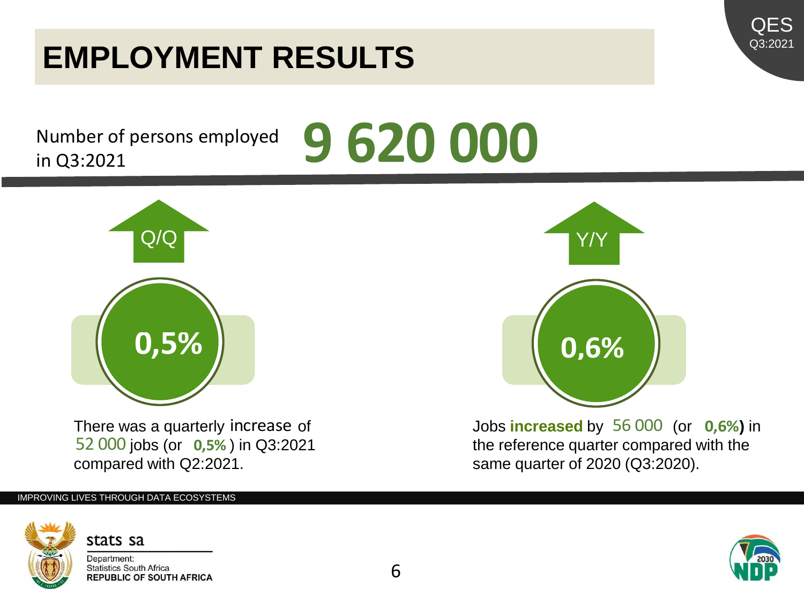### 6

**9 620 000**

### stats sa Department: **Statistics South Africa REPUBLIC OF SOUTH AFRICA**

## **EMPLOYMENT RESULTS**

Number of persons employed in Q3:2021



There was a quarterly increase of 52 000 jobs (or 0,5%) in Q3:2021 compared with Q2:2021.

### IMPROVING LIVES THROUGH DATA ECOSYSTEMS



terly increase of **the control of the state of the control of the reference quarter compared with the <b>0,5%**) in  $\overline{0.5\%}$  ) in Q3:2021 the reference quarter compared with the same quarter of 2020 (Q3:2020).



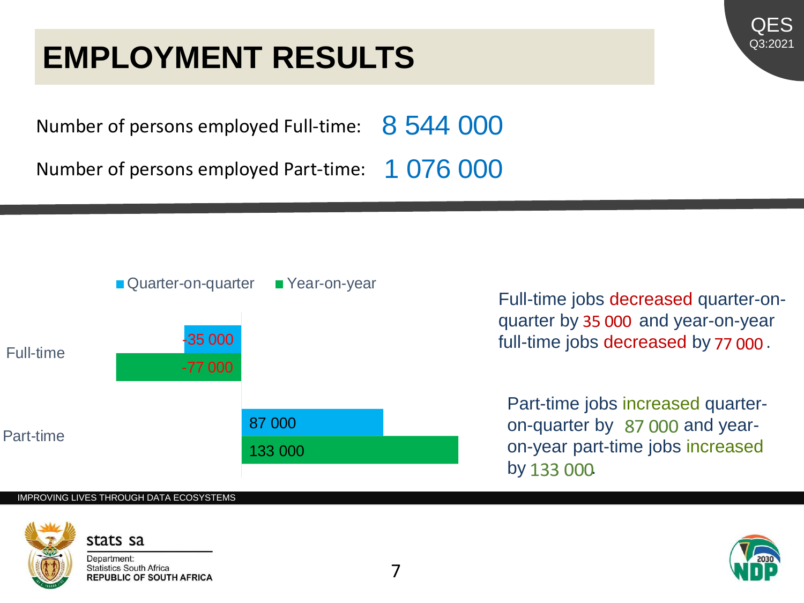### **EMPLOYMENT RESULTS**



Number of persons employed Full-time: 8 544 000

Number of persons employed Part-time: 1 076 000



### IMPROVING LIVES THROUGH DATA ECOSYSTEMS



Department: **Statistics South Africa REPUBLIC OF SOUTH AFRICA**  Full-time jobs decreased quarter-onquarter by 35 000 and year-on-year full-time jobs decreased by 77 000.

Part-time jobs increased quarteron-quarter by 87 000 and yearon-year part-time jobs increased by 133 000

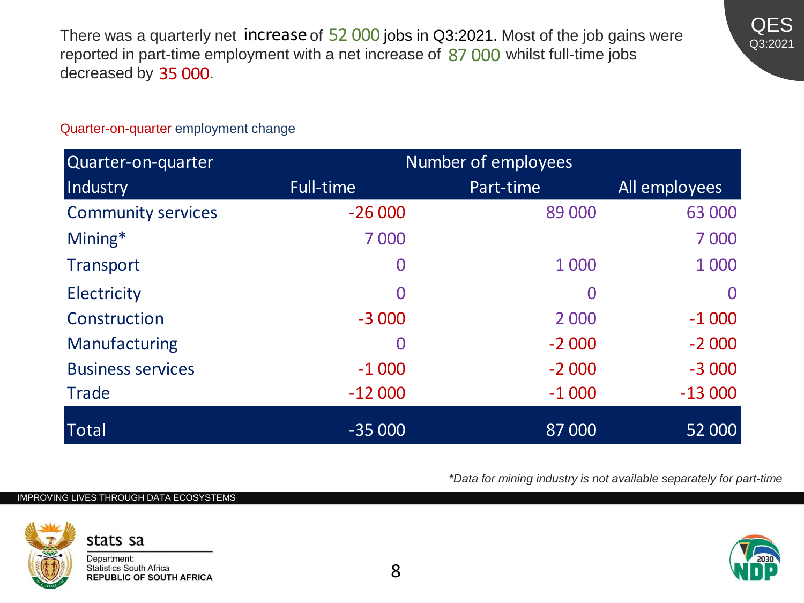There was a quarterly net **increase** of 52 000 jobs in Q3:2021. Most of the job gains were reported in part-time employment with a net increase of 87 000 whilst full-time jobs decreased by 35 000. reported in part-time employment with a net increase of  $87,000$  whilst full-time jobs decreased by 35 000.



### Quarter-on-quarter employment change

| Quarter-on-quarter        | Number of employees |           |               |
|---------------------------|---------------------|-----------|---------------|
| Industry                  | Full-time           | Part-time | All employees |
| <b>Community services</b> | $-26000$            | 89 000    | 63 000        |
| Mining*                   | 7 0 0 0             |           | 7 0 0 0       |
| Transport                 | 0                   | 1 0 0 0   | 1 0 0 0       |
| <b>Electricity</b>        | 0                   | 0         | $\Omega$      |
| Construction              | $-3000$             | 2 0 0 0   | $-1000$       |
| Manufacturing             | 0                   | $-2000$   | $-2000$       |
| <b>Business services</b>  | $-1000$             | $-2000$   | $-3000$       |
| <b>Trade</b>              | $-12000$            | $-1000$   | $-13000$      |
| <b>Total</b>              | $-35000$            | 87 000    | 52 000        |

*\*Data for mining industry is not available separately for part-time*

### IMPROVING LIVES THROUGH DATA ECOSYSTEMS



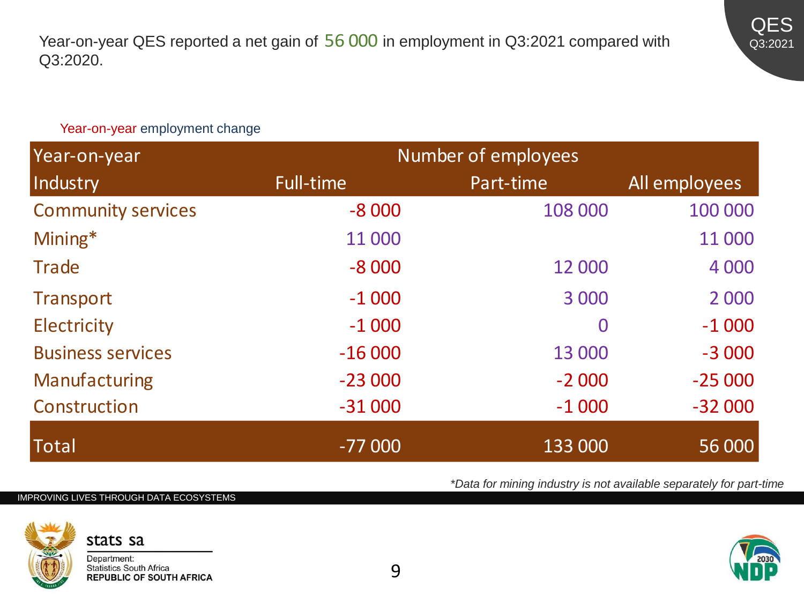

### Year-on-year employment change

| Year-on-year              | Number of employees |           |               |
|---------------------------|---------------------|-----------|---------------|
| Industry                  | Full-time           | Part-time | All employees |
| <b>Community services</b> | $-8000$             | 108 000   | 100 000       |
| Mining*                   | 11 000              |           | 11 000        |
| <b>Trade</b>              | $-8000$             | 12 000    | 4 0 0 0       |
| <b>Transport</b>          | $-1000$             | 3 0 0 0   | 2 0 0 0       |
| <b>Electricity</b>        | $-1000$             | $\bf{0}$  | $-1000$       |
| <b>Business services</b>  | $-16000$            | 13 000    | $-3000$       |
| Manufacturing             | $-23000$            | $-2000$   | $-25000$      |
| Construction              | $-31000$            | $-1000$   | $-32000$      |
| <b>Total</b>              | $-77000$            | 133 000   | 56 000        |

IMPROVING LIVES THROUGH DATA ECOSYSTEMS





*\*Data for mining industry is not available separately for part-time*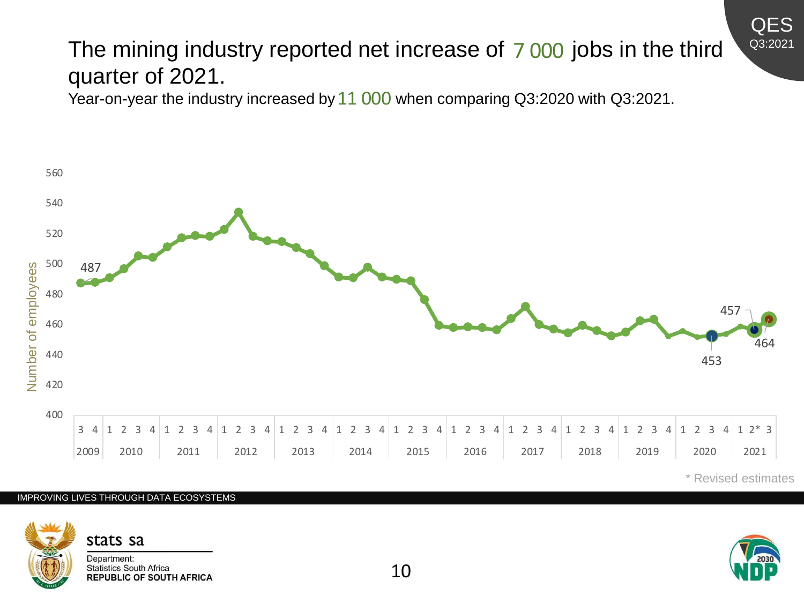### The mining industry reported net increase of 7000 jobs in the third quarter of 2021.

Year-on-year the industry increased by  $11\,000$  when comparing Q3:2020 with Q3:2021.



IMPROVING LIVES THROUGH DATA ECOSYSTEMS



Department: **Statistics South Africa REPUBLIC OF SOUTH AFRICA**  \* Revised estimates

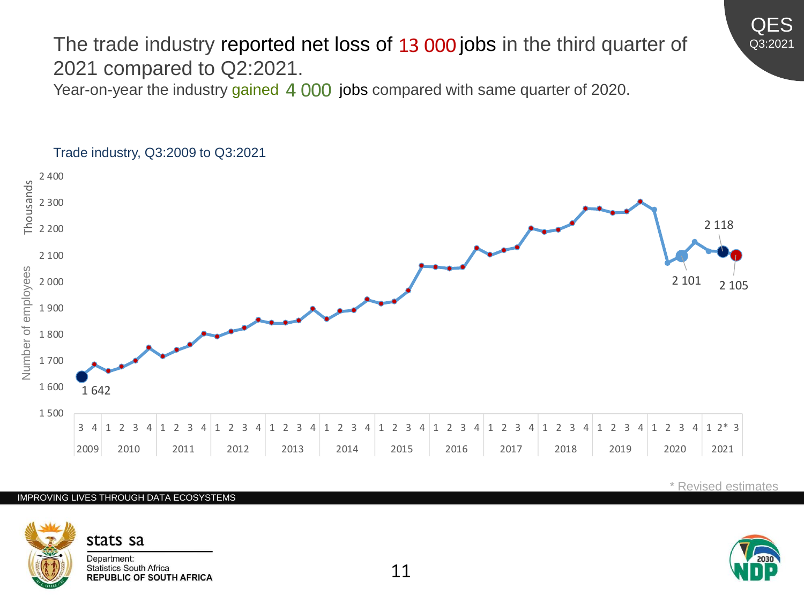### The trade industry reported net loss of 13 000 jobs in the third quarter of<br>2021 compared to Q2:2021.<br>Year-on-year the industry gained 4 000 jobs compared with same quarter of 2020. 2021 compared to Q2:2021.

Year-on-year the industry gained 4 000 jobs compared with same quarter of 2020.



### Trade industry, Q3:2009 to Q3:2021

IMPROVING LIVES THROUGH DATA ECOSYSTEMS



Department: **Statistics South Africa REPUBLIC OF SOUTH AFRICA** 



QES Q3:2021

\* Revised estimates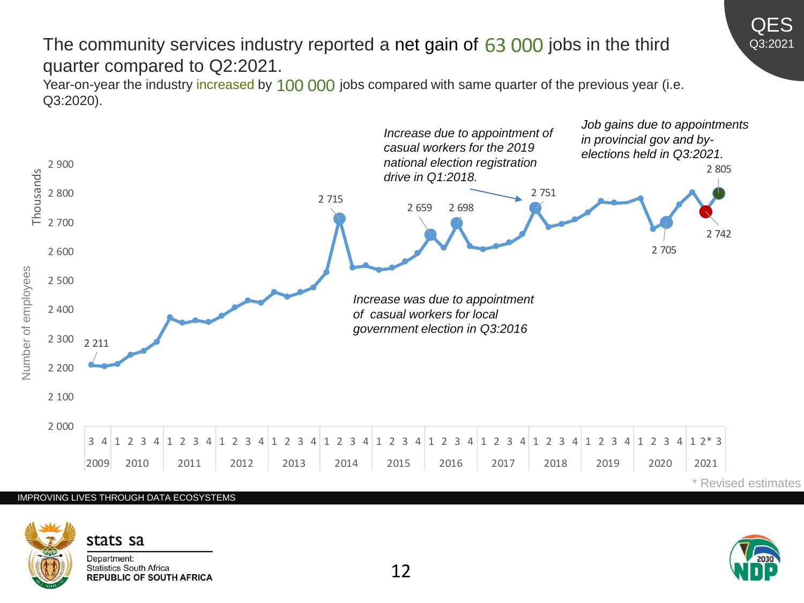### The community services industry reported a net gain of 63 000 jobs in the third quarter compared to Q2:2021.

Year-on-year the industry increased by 100 000 jobs compared with same quarter of the previous year (i.e. Q3:2020).



### IMPROVING LIVES THROUGH DATA ECOSYSTEMS



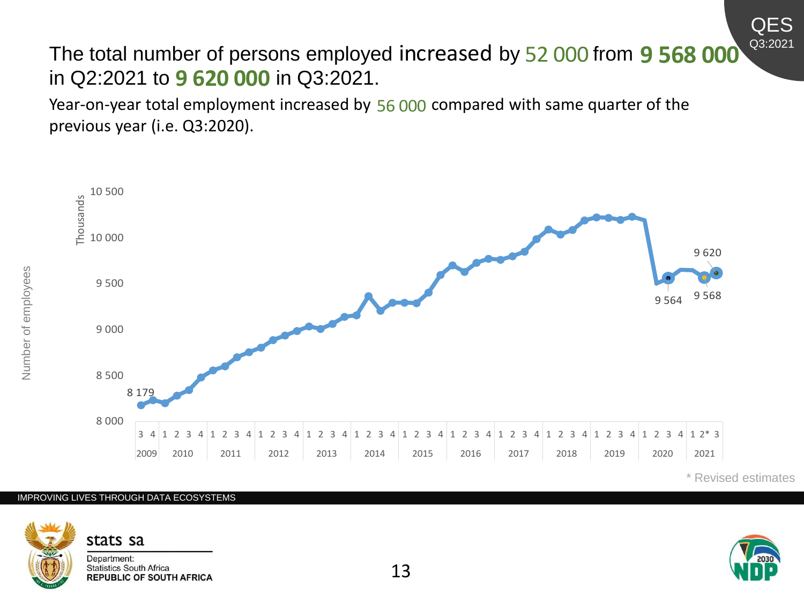The total number of persons employed increased by 52 000 from **9 568 000**<br>in Q2:2021 to **9 620 000** in Q3:2021. in Q2:2021 to **9 620 000** in Q3:2021.

Year-on-year total employment increased by 56 000 compared with same quarter of the previous year (i.e. Q3:2020).



QES Q3:2021

#### IMPROVING LIVES THROUGH DATA ECOSYSTEMS



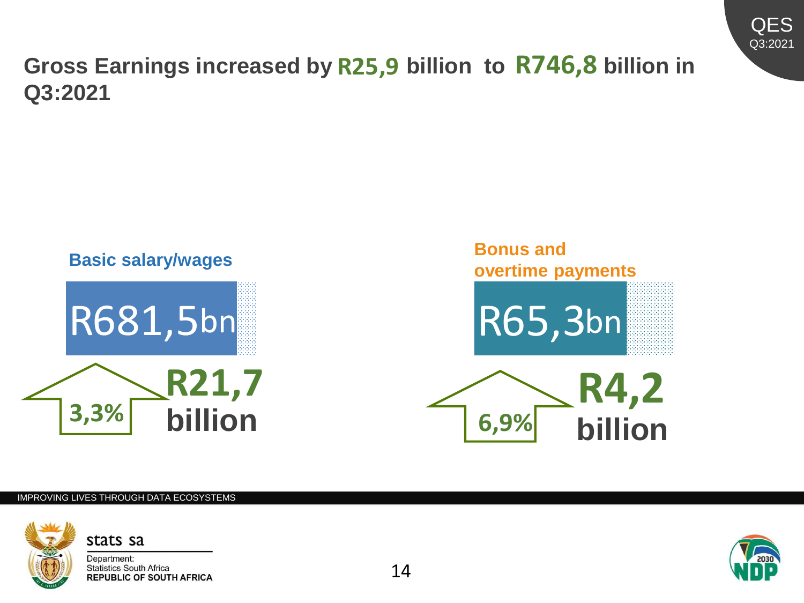

### **Gross Earnings increased by R25,9 billion to R746,8 billion in Q3:2021**



### IMPROVING LIVES THROUGH DATA ECOSYSTEMS



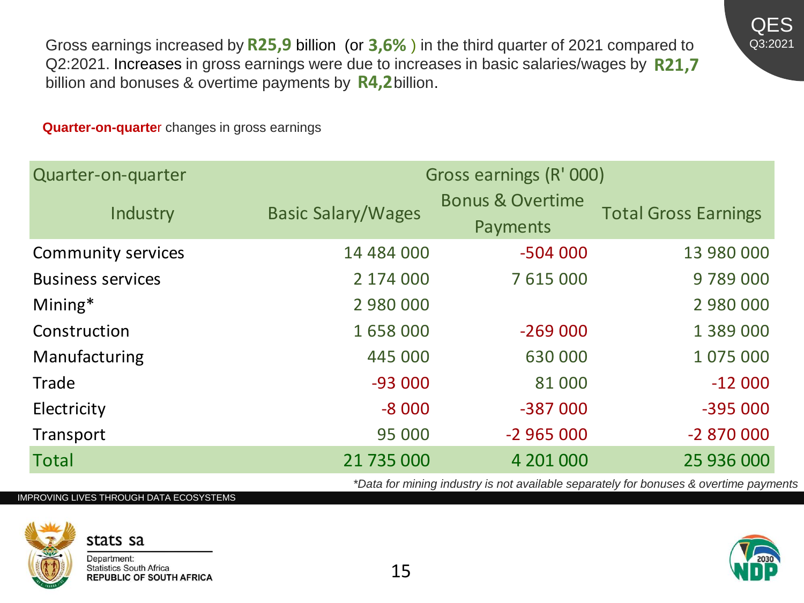Gross earnings increased by  $R25,9$  billion (or  $3,6\%$ ) in the third quarter of 2021 compared to Q2:2021. Increases in gross earnings were due to increases in basic salaries/wages by billion and bonuses & overtime payments by  $R4,2$  billion. **R25,9** billion (or **3,6%**) in the third quarter of 2021 compared to earnings were due to increases in basic salaries/wages by **R21,7** e payments by **R4,2** billion.

**Quarter-on-quarte**r changes in gross earnings

| Quarter-on-quarter       | Gross earnings (R' 000)   |                                         |                             |  |
|--------------------------|---------------------------|-----------------------------------------|-----------------------------|--|
| Industry                 | <b>Basic Salary/Wages</b> | <b>Bonus &amp; Overtime</b><br>Payments | <b>Total Gross Earnings</b> |  |
| Community services       | 14 484 000                | $-504000$                               | 13 980 000                  |  |
| <b>Business services</b> | 2 174 000                 | 7 615 000                               | 9789000                     |  |
| $Mining*$                | 2 980 000                 |                                         | 2 980 000                   |  |
| Construction             | 1658000                   | $-269000$                               | 1 389 000                   |  |
| Manufacturing            | 445 000                   | 630 000                                 | 1 075 000                   |  |
| Trade                    | $-93000$                  | 81 000                                  | $-12000$                    |  |
| Electricity              | $-8000$                   | -387 000                                | $-395000$                   |  |
| Transport                | 95 000                    | $-2965000$                              | $-2870000$                  |  |
| <b>Total</b>             | 21 735 000                | 4 201 000                               | 25 936 000                  |  |

*\*Data for mining industry is not available separately for bonuses & overtime payments*

### IMPROVING LIVES THROUGH DATA ECOSYSTEMS

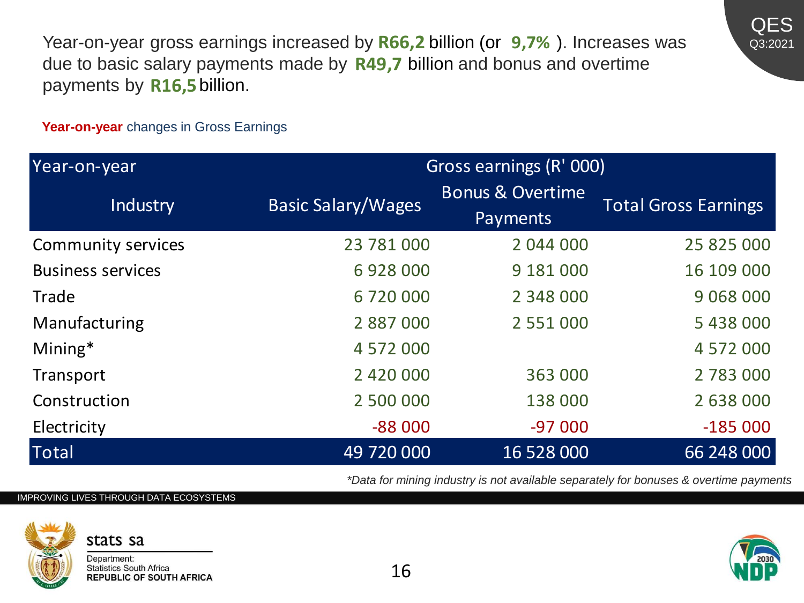Year-on-year gross earnings increased by R66,2 billion (or 9,7%). Increases was due to basic salary payments made by **R49,7** billion and bonus and overtime payments by **R16,5** billion.



**Year-on-year** changes in Gross Earnings

| Year-on-year              | Gross earnings (R' 000)   |                                         |                             |
|---------------------------|---------------------------|-----------------------------------------|-----------------------------|
| Industry                  | <b>Basic Salary/Wages</b> | <b>Bonus &amp; Overtime</b><br>Payments | <b>Total Gross Earnings</b> |
| <b>Community services</b> | 23 781 000                | 2 044 000                               | 25 825 000                  |
| <b>Business services</b>  | 6928000                   | 9 181 000                               | 16 109 000                  |
| Trade                     | 6 720 000                 | 2 348 000                               | 9 0 68 0 00                 |
| Manufacturing             | 2 887 000                 | 2 5 5 1 0 0 0                           | 5438000                     |
| $Mining*$                 | 4 572 000                 |                                         | 4 572 000                   |
| Transport                 | 2 420 000                 | 363 000                                 | 2 783 000                   |
| Construction              | 2 500 000                 | 138 000                                 | 2 638 000                   |
| Electricity               | $-88000$                  | $-97000$                                | $-185000$                   |
| <b>Total</b>              | 49 720 000                | 16 528 000                              | 66 248 000                  |

*\*Data for mining industry is not available separately for bonuses & overtime payments*

### IMPROVING LIVES THROUGH DATA ECOSYSTEMS



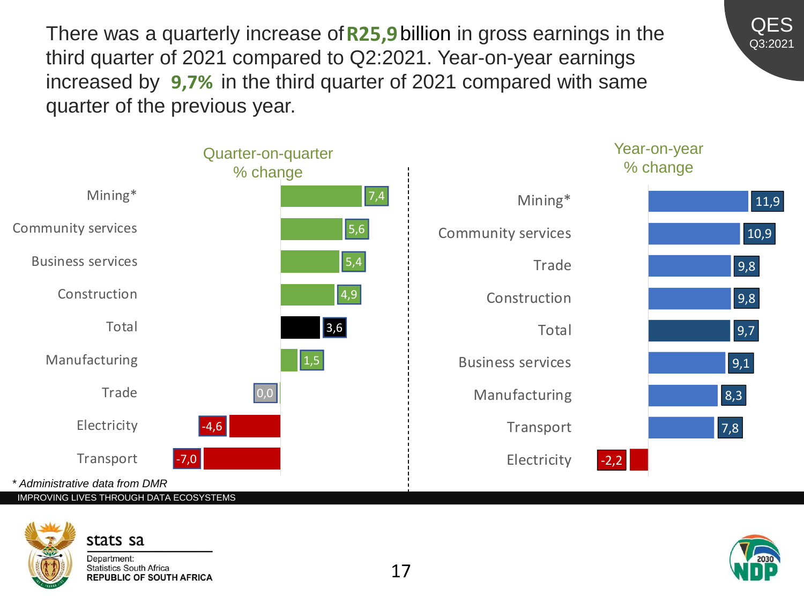There was a quarterly increase of **R25,9** billion in gross earnings in the third quarter of 2021 compared to Q2:2021. Year-on-year earnings There was a quarterly increase of **R25,9** billion in gross earnings in th<br>third quarter of 2021 compared to Q2:2021. Year-on-year earnings<br>increased by 9,7% in the third quarter of 2021 compared with same quarter of the previous year.



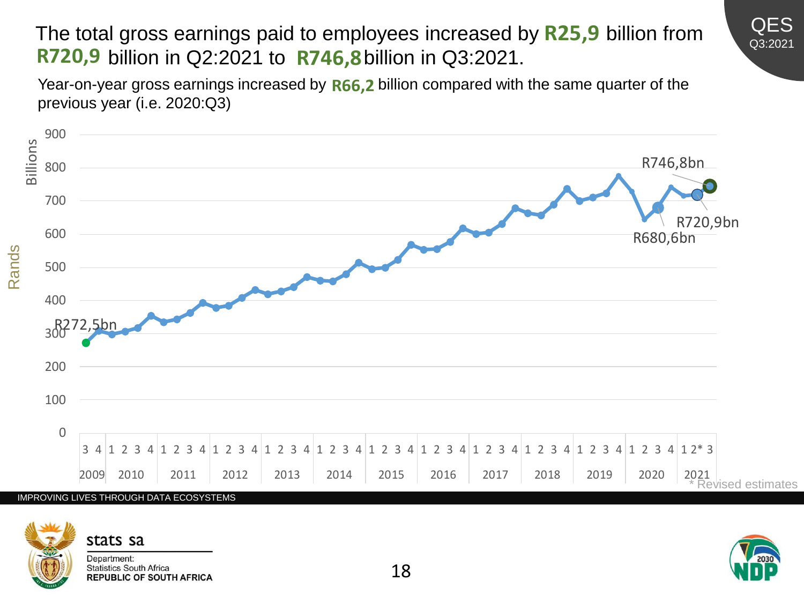### The total gross earnings paid to employees increased by R25,9 billion from R720,9 billion in Q2:2021 to R746,8 billion in Q3:2021. R720,9 billion in Q2:2021 to R746,8 billion in Q3:2021.

Year-on-year gross earnings increased by **R66,2** billion compared with the same quarter of the previous year (i.e. 2020:Q3)





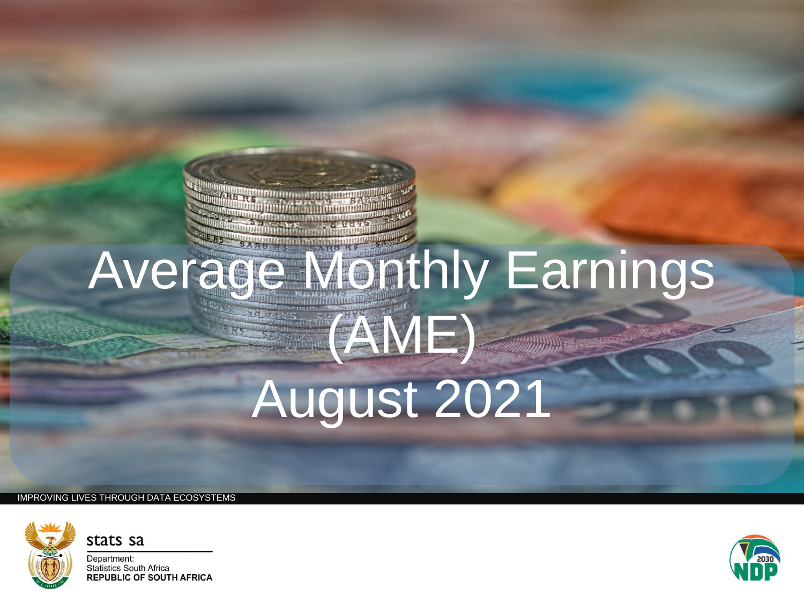# Average Monthly Earnings (AME) August 2021

IMPROVING LIVES THROUGH DATA ECOSYSTEMS

stats sa



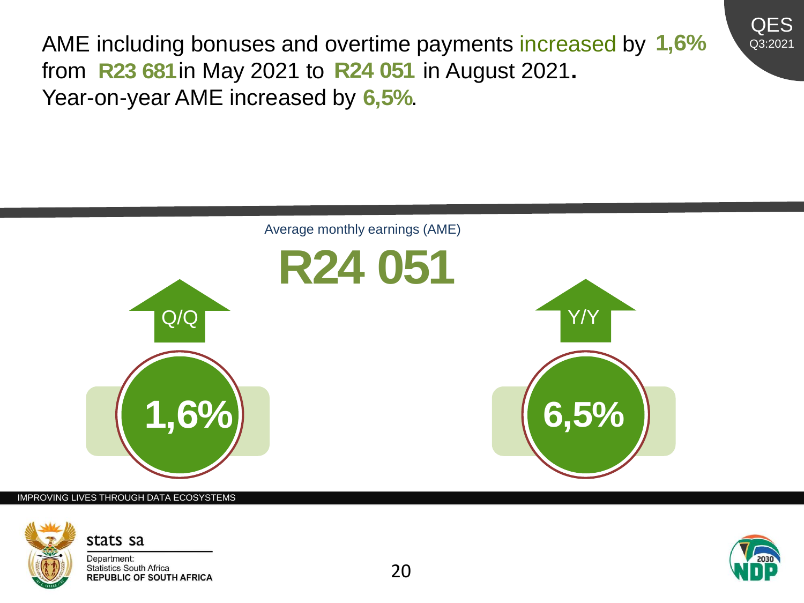

AME including bonuses and overtime payments increased by 1,6%<br>from R23 681 in May 2021 to R24 051 in August 2021. from **R23 681** in May 2021 to **R24 051** in August 2021. Year-on-year AME increased by 6,5%.



#### IMPROVING LIVES THROUGH DATA ECOSYSTEMS





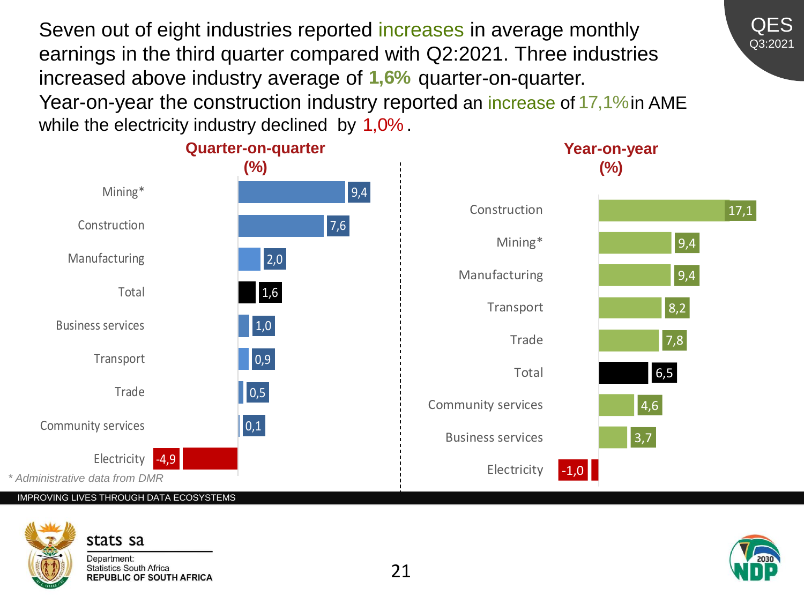Seven out of eight industries reported increases in average monthly earnings in the third quarter compared with Q2:2021. Three industries increased above industry average of 1,6% quarter-on-quarter. Year-on-year the construction industry reported an increase of 17,1% in AME while the electricity industry declined by  $1,0\%$ .



IMPROVING LIVES THROUGH DATA ECOSYSTEMS

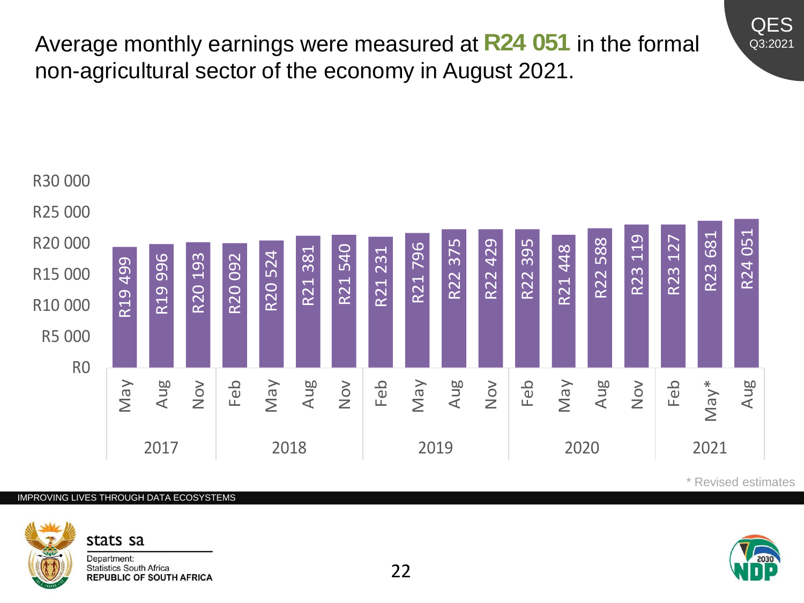Average monthly earnings were measured at R24 051 in the formal non-agricultural sector of the economy in August 2021.



### IMPROVING LIVES THROUGH DATA ECOSYSTEMS



\* Revised estimates

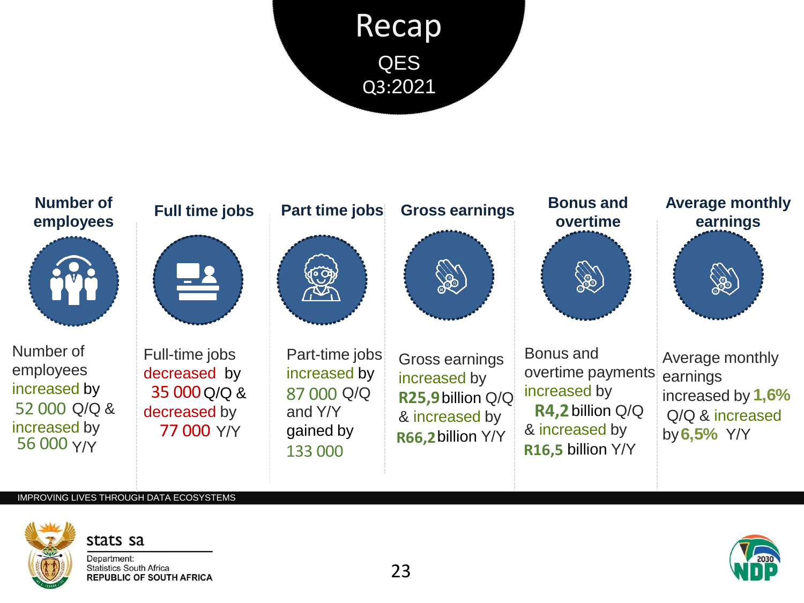



### IMPROVING LIVES THROUGH DATA ECOSYSTEMS

stats sa